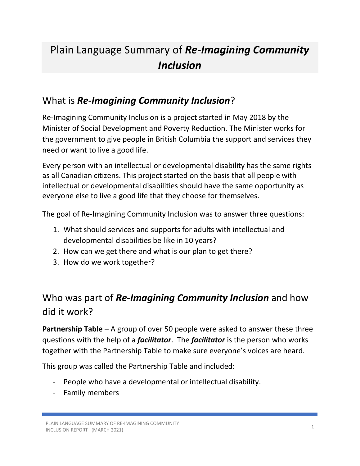# Plain Language Summary of *Re-Imagining Community Inclusion*

## What is *Re-Imagining Community Inclusion*?

Re-Imagining Community Inclusion is a project started in May 2018 by the Minister of Social Development and Poverty Reduction. The Minister works for the government to give people in British Columbia the support and services they need or want to live a good life.

Every person with an intellectual or developmental disability has the same rights as all Canadian citizens. This project started on the basis that all people with intellectual or developmental disabilities should have the same opportunity as everyone else to live a good life that they choose for themselves.

The goal of Re-Imagining Community Inclusion was to answer three questions:

- 1. What should services and supports for adults with intellectual and developmental disabilities be like in 10 years?
- 2. How can we get there and what is our plan to get there?
- 3. How do we work together?

## Who was part of *Re-Imagining Community Inclusion* and how did it work?

**Partnership Table** – A group of over 50 people were asked to answer these three questions with the help of a *facilitator*. The *facilitator* is the person who works together with the Partnership Table to make sure everyone's voices are heard.

This group was called the Partnership Table and included:

- People who have a developmental or intellectual disability.
- Family members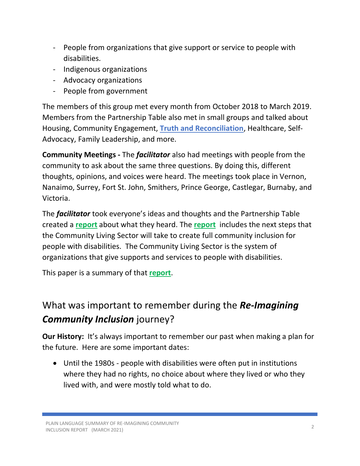- People from organizations that give support or service to people with disabilities.
- Indigenous organizations
- Advocacy organizations
- People from government

The members of this group met every month from October 2018 to March 2019. Members from the Partnership Table also met in small groups and talked about Housing, Community Engagement, **Truth and Reconciliation**, Healthcare, Self-Advocacy, Family Leadership, and more.

**Community Meetings -** The *facilitator* also had meetings with people from the community to ask about the same three questions. By doing this, different thoughts, opinions, and voices were heard. The meetings took place in Vernon, Nanaimo, Surrey, Fort St. John, Smithers, Prince George, Castlegar, Burnaby, and Victoria.

The *facilitator* took everyone's ideas and thoughts and the Partnership Table created a **[report](https://www2.gov.bc.ca/assets/gov/british-columbians-our-governments/organizational-structure/ministries-organizations/social-development-poverty-reduction/re-imagining-community-inclusion-march-2019.pdf)** about what they heard. The **[report](https://www2.gov.bc.ca/assets/gov/british-columbians-our-governments/organizational-structure/ministries-organizations/social-development-poverty-reduction/re-imagining-community-inclusion-march-2019.pdf)** includes the next steps that the Community Living Sector will take to create full community inclusion for people with disabilities. The Community Living Sector is the system of organizations that give supports and services to people with disabilities.

This paper is a summary of that **[report](https://www2.gov.bc.ca/assets/gov/british-columbians-our-governments/organizational-structure/ministries-organizations/social-development-poverty-reduction/re-imagining-community-inclusion-march-2019.pdf)**.

## What was important to remember during the *Re-Imagining Community Inclusion* journey?

**Our History:** It's always important to remember our past when making a plan for the future. Here are some important dates:

• Until the 1980s - people with disabilities were often put in institutions where they had no rights, no choice about where they lived or who they lived with, and were mostly told what to do.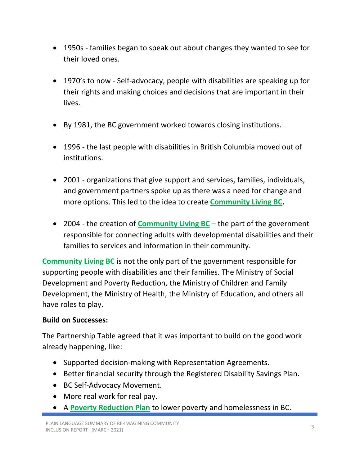- 1950s families began to speak out about changes they wanted to see for their loved ones.
- 1970's to now Self-advocacy, people with disabilities are speaking up for their rights and making choices and decisions that are important in their lives.
- By 1981, the BC government worked towards closing institutions.
- 1996 the last people with disabilities in British Columbia moved out of institutions.
- 2001 organizations that give support and services, families, individuals, and government partners spoke up as there was a need for change and more options. This led to the idea to create **[Community Living BC.](https://www.communitylivingbc.ca/)**
- 2004 the creation of **[Community Living BC](https://www.communitylivingbc.ca/)** the part of the government responsible for connecting adults with developmental disabilities and their families to services and information in their community.

**[Community Living BC](https://www.communitylivingbc.ca/)** is not the only part of the government responsible for supporting people with disabilities and their families. The Ministry of Social Development and Poverty Reduction, the Ministry of Children and Family Development, the Ministry of Health, the Ministry of Education, and others all have roles to play.

### **Build on Successes:**

The Partnership Table agreed that it was important to build on the good work already happening, like:

- Supported decision-making with Representation Agreements.
- Better financial security through the Registered Disability Savings Plan.
- BC Self-Advocacy Movement.
- More real work for real pay.
- A **[Poverty Reduction Plan](https://www2.gov.bc.ca/gov/content/governments/about-the-bc-government/poverty-reduction-strategy)** to lower poverty and homelessness in BC.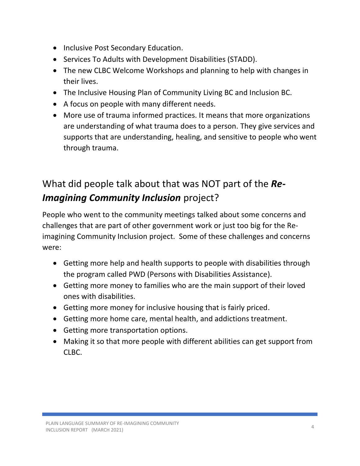- Inclusive Post Secondary Education.
- Services To Adults with Development Disabilities (STADD).
- The new CLBC Welcome Workshops and planning to help with changes in their lives.
- The Inclusive Housing Plan of Community Living BC and Inclusion BC.
- A focus on people with many different needs.
- More use of trauma informed practices. It means that more organizations are understanding of what trauma does to a person. They give services and supports that are understanding, healing, and sensitive to people who went through trauma.

## What did people talk about that was NOT part of the *Re-Imagining Community Inclusion* project?

People who went to the community meetings talked about some concerns and challenges that are part of other government work or just too big for the Reimagining Community Inclusion project. Some of these challenges and concerns were:

- Getting more help and health supports to people with disabilities through the program called PWD (Persons with Disabilities Assistance).
- Getting more money to families who are the main support of their loved ones with disabilities.
- Getting more money for inclusive housing that is fairly priced.
- Getting more home care, mental health, and addictions treatment.
- Getting more transportation options.
- Making it so that more people with different abilities can get support from  $CI$  BC.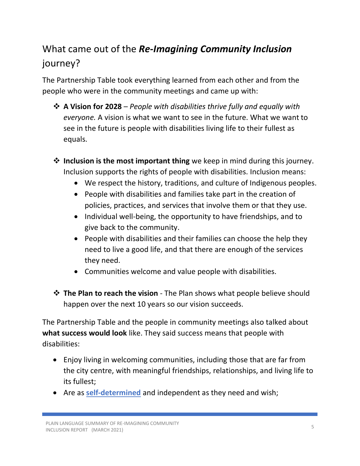## What came out of the *Re-Imagining Community Inclusion* journey?

The Partnership Table took everything learned from each other and from the people who were in the community meetings and came up with:

- ❖ **A Vision for 2028** *People with disabilities thrive fully and equally with everyone.* A vision is what we want to see in the future. What we want to see in the future is people with disabilities living life to their fullest as equals.
- ❖ **Inclusion is the most important thing** we keep in mind during this journey. Inclusion supports the rights of people with disabilities. Inclusion means:
	- We respect the history, traditions, and culture of Indigenous peoples.
	- People with disabilities and families take part in the creation of policies, practices, and services that involve them or that they use.
	- Individual well-being, the opportunity to have friendships, and to give back to the community.
	- People with disabilities and their families can choose the help they need to live a good life, and that there are enough of the services they need.
	- Communities welcome and value people with disabilities.
- ❖ **The Plan to reach the vision** The Plan shows what people believe should happen over the next 10 years so our vision succeeds.

The Partnership Table and the people in community meetings also talked about **what success would look** like. They said success means that people with disabilities:

- Enjoy living in welcoming communities, including those that are far from the city centre, with meaningful friendships, relationships, and living life to its fullest;
- Are as **self-determined** and independent as they need and wish;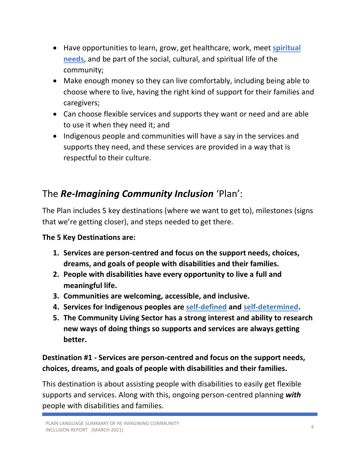- Have opportunities to learn, grow, get healthcare, work, meet **spiritual needs**, and be part of the social, cultural, and spiritual life of the community;
- Make enough money so they can live comfortably, including being able to choose where to live, having the right kind of support for their families and caregivers;
- Can choose flexible services and supports they want or need and are able to use it when they need it; and
- Indigenous people and communities will have a say in the services and supports they need, and these services are provided in a way that is respectful to their culture.

## The *Re-Imagining Community Inclusion* 'Plan':

The Plan includes 5 key destinations (where we want to get to), milestones (signs that we're getting closer), and steps needed to get there.

**The 5 Key Destinations are:**

- **1. Services are person-centred and focus on the support needs, choices, dreams, and goals of people with disabilities and their families.**
- **2. People with disabilities have every opportunity to live a full and meaningful life.**
- **3. Communities are welcoming, accessible, and inclusive.**
- **4. Services for Indigenous peoples are self-defined and self-determined.**
- **5. The Community Living Sector has a strong interest and ability to research new ways of doing things so supports and services are always getting better.**

## **Destination #1 - Services are person-centred and focus on the support needs, choices, dreams, and goals of people with disabilities and their families.**

This destination is about assisting people with disabilities to easily get flexible supports and services. Along with this, ongoing person-centred planning *with* people with disabilities and families.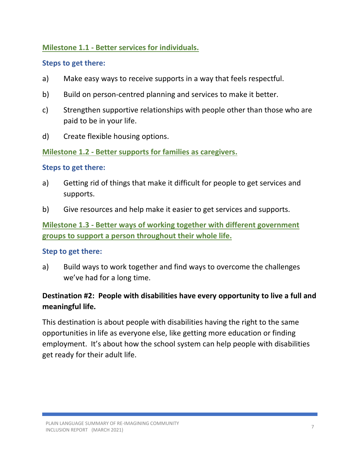### **Milestone 1.1 - Better services for individuals.**

#### **Steps to get there:**

- a) Make easy ways to receive supports in a way that feels respectful.
- b) Build on person-centred planning and services to make it better.
- c) Strengthen supportive relationships with people other than those who are paid to be in your life.
- d) Create flexible housing options.

**Milestone 1.2 - Better supports for families as caregivers.**

#### **Steps to get there:**

- a) Getting rid of things that make it difficult for people to get services and supports.
- b) Give resources and help make it easier to get services and supports.

**Milestone 1.3 - Better ways of working together with different government groups to support a person throughout their whole life.**

#### **Step to get there:**

a) Build ways to work together and find ways to overcome the challenges we've had for a long time.

## **Destination #2: People with disabilities have every opportunity to live a full and meaningful life.**

This destination is about people with disabilities having the right to the same opportunities in life as everyone else, like getting more education or finding employment. It's about how the school system can help people with disabilities get ready for their adult life.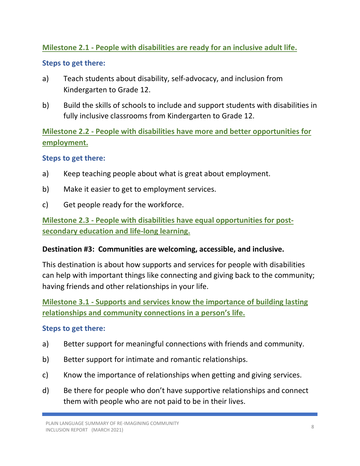### **Milestone 2.1 - People with disabilities are ready for an inclusive adult life.**

#### **Steps to get there:**

- a) Teach students about disability, self-advocacy, and inclusion from Kindergarten to Grade 12.
- b) Build the skills of schools to include and support students with disabilities in fully inclusive classrooms from Kindergarten to Grade 12.

**Milestone 2.2 - People with disabilities have more and better opportunities for employment.**

#### **Steps to get there:**

- a) Keep teaching people about what is great about employment.
- b) Make it easier to get to employment services.
- c) Get people ready for the workforce.

**Milestone 2.3 - People with disabilities have equal opportunities for postsecondary education and life-long learning.**

#### **Destination #3: Communities are welcoming, accessible, and inclusive.**

This destination is about how supports and services for people with disabilities can help with important things like connecting and giving back to the community; having friends and other relationships in your life.

**Milestone 3.1 - Supports and services know the importance of building lasting relationships and community connections in a person's life.**

#### **Steps to get there:**

- a) Better support for meaningful connections with friends and community.
- b) Better support for intimate and romantic relationships.
- c) Know the importance of relationships when getting and giving services.
- d) Be there for people who don't have supportive relationships and connect them with people who are not paid to be in their lives.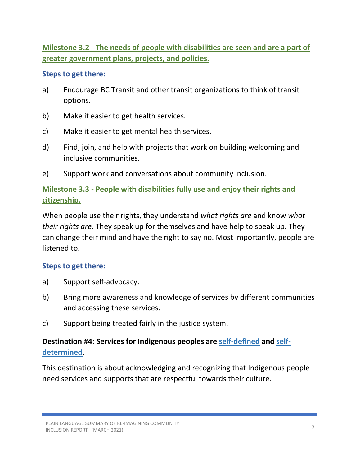**Milestone 3.2 - The needs of people with disabilities are seen and are a part of greater government plans, projects, and policies.**

#### **Steps to get there:**

- a) Encourage BC Transit and other transit organizations to think of transit options.
- b) Make it easier to get health services.
- c) Make it easier to get mental health services.
- d) Find, join, and help with projects that work on building welcoming and inclusive communities.
- e) Support work and conversations about community inclusion.

## **Milestone 3.3 - People with disabilities fully use and enjoy their rights and citizenship.**

When people use their rights, they understand *what rights are* and know *what their rights are*. They speak up for themselves and have help to speak up. They can change their mind and have the right to say no. Most importantly, people are listened to.

#### **Steps to get there:**

- a) Support self-advocacy.
- b) Bring more awareness and knowledge of services by different communities and accessing these services.
- c) Support being treated fairly in the justice system.

## **Destination #4: Services for Indigenous peoples are self-defined and selfdetermined.**

This destination is about acknowledging and recognizing that Indigenous people need services and supports that are respectful towards their culture.

PLAIN LANGUAGE SUMMARY OF RE-IMAGINING COMMUNITY INCLUSION REPORT (MARCH 2021)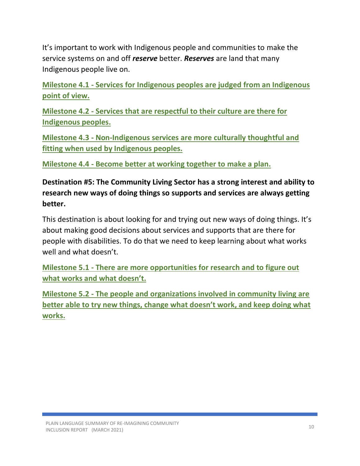It's important to work with Indigenous people and communities to make the service systems on and off *reserve* better. *Reserves* are land that many Indigenous people live on.

**Milestone 4.1 - Services for Indigenous peoples are judged from an Indigenous point of view.**

**Milestone 4.2 - Services that are respectful to their culture are there for Indigenous peoples.**

**Milestone 4.3 - Non-Indigenous services are more culturally thoughtful and fitting when used by Indigenous peoples.**

**Milestone 4.4 - Become better at working together to make a plan.**

**Destination #5: The Community Living Sector has a strong interest and ability to research new ways of doing things so supports and services are always getting better.**

This destination is about looking for and trying out new ways of doing things. It's about making good decisions about services and supports that are there for people with disabilities. To do that we need to keep learning about what works well and what doesn't.

**Milestone 5.1 - There are more opportunities for research and to figure out what works and what doesn't.**

**Milestone 5.2 - The people and organizations involved in community living are better able to try new things, change what doesn't work, and keep doing what works.**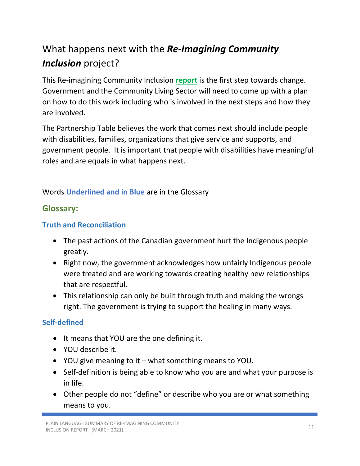## What happens next with the *Re-Imagining Community Inclusion* project?

This Re-imagining Community Inclusion **[report](https://www2.gov.bc.ca/assets/gov/british-columbians-our-governments/organizational-structure/ministries-organizations/social-development-poverty-reduction/re-imagining-community-inclusion-march-2019.pdf)** is the first step towards change. Government and the Community Living Sector will need to come up with a plan on how to do this work including who is involved in the next steps and how they are involved.

The Partnership Table believes the work that comes next should include people with disabilities, families, organizations that give service and supports, and government people. It is important that people with disabilities have meaningful roles and are equals in what happens next.

Words **Underlined and in Blue** are in the Glossary

## **Glossary:**

### **Truth and Reconciliation**

- The past actions of the Canadian government hurt the Indigenous people greatly.
- Right now, the government acknowledges how unfairly Indigenous people were treated and are working towards creating healthy new relationships that are respectful.
- This relationship can only be built through truth and making the wrongs right. The government is trying to support the healing in many ways.

## **Self-defined**

- It means that YOU are the one defining it.
- YOU describe it.
- YOU give meaning to it what something means to YOU.
- Self-definition is being able to know who you are and what your purpose is in life.
- Other people do not "define" or describe who you are or what something means to you.